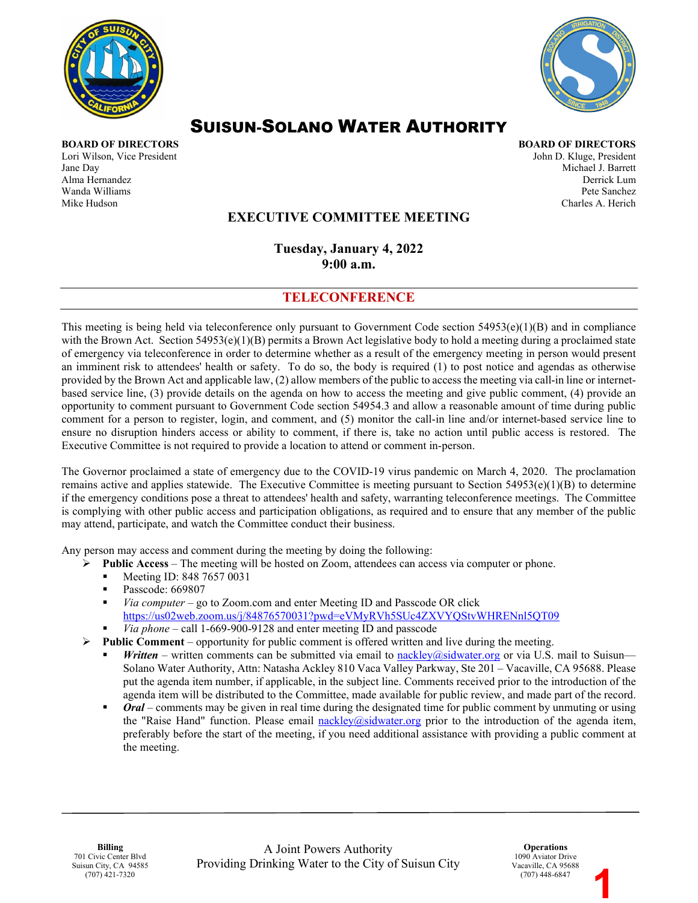



# SUISUN-SOLANO WATER AUTHORITY

**BOARD OF DIRECTORS BOARD OF DIRECTORS** Lori Wilson, Vice President and American School and American School and American John D. Kluge, President John D. Kluge, President Jane Day Michael J. Barrett Alma Hernandez Derrick Lum Wanda Williams Pete Sanchez Mike Hudson Charles A. Herich

# **EXECUTIVE COMMITTEE MEETING**

**Tuesday, January 4, 2022 9:00 a.m.** 

### **TELECONFERENCE**

This meeting is being held via teleconference only pursuant to Government Code section  $54953(e)(1)(B)$  and in compliance with the Brown Act. Section  $54953(e)(1)(B)$  permits a Brown Act legislative body to hold a meeting during a proclaimed state of emergency via teleconference in order to determine whether as a result of the emergency meeting in person would present an imminent risk to attendees' health or safety. To do so, the body is required (1) to post notice and agendas as otherwise provided by the Brown Act and applicable law, (2) allow members of the public to access the meeting via call-in line or internetbased service line, (3) provide details on the agenda on how to access the meeting and give public comment, (4) provide an opportunity to comment pursuant to Government Code section 54954.3 and allow a reasonable amount of time during public comment for a person to register, login, and comment, and (5) monitor the call-in line and/or internet-based service line to ensure no disruption hinders access or ability to comment, if there is, take no action until public access is restored. The Executive Committee is not required to provide a location to attend or comment in-person.

The Governor proclaimed a state of emergency due to the COVID-19 virus pandemic on March 4, 2020. The proclamation remains active and applies statewide. The Executive Committee is meeting pursuant to Section  $54953(e)(1)(B)$  to determine if the emergency conditions pose a threat to attendees' health and safety, warranting teleconference meetings. The Committee is complying with other public access and participation obligations, as required and to ensure that any member of the public may attend, participate, and watch the Committee conduct their business.

Any person may access and comment during the meeting by doing the following:

- **Public Access**The meeting will be hosted on Zoom, attendees can access via computer or phone.
	- Meeting ID: 848 7657 0031
	- Passcode: 669807
	- *Via computer* go to Zoom.com and enter Meeting ID and Passcode OR click <https://us02web.zoom.us/j/84876570031?pwd=eVMyRVh5SUc4ZXVYQStvWHRENnl5QT09>
	- *Via phone* call 1-669-900-9128 and enter meeting ID and passcode
- $\triangleright$  **Public Comment** opportunity for public comment is offered written and live during the meeting.
	- *Written* written comments can be submitted via email to [nackley@sidwater.org](mailto:nackley@sidwater.org) or via U.S. mail to Suisun— Solano Water Authority, Attn: Natasha Ackley 810 Vaca Valley Parkway, Ste 201 – Vacaville, CA 95688. Please put the agenda item number, if applicable, in the subject line. Comments received prior to the introduction of the agenda item will be distributed to the Committee, made available for public review, and made part of the record.
	- *Oral* comments may be given in real time during the designated time for public comment by unmuting or using the "Raise Hand" function. Please email [nackley@sidwater.org](mailto:nackley@sidwater.org) prior to the introduction of the agenda item, preferably before the start of the meeting, if you need additional assistance with providing a public comment at the meeting.

**Operations** 1090 Aviator Drive Vacaville, CA 95688 (707) 448-6847

**1**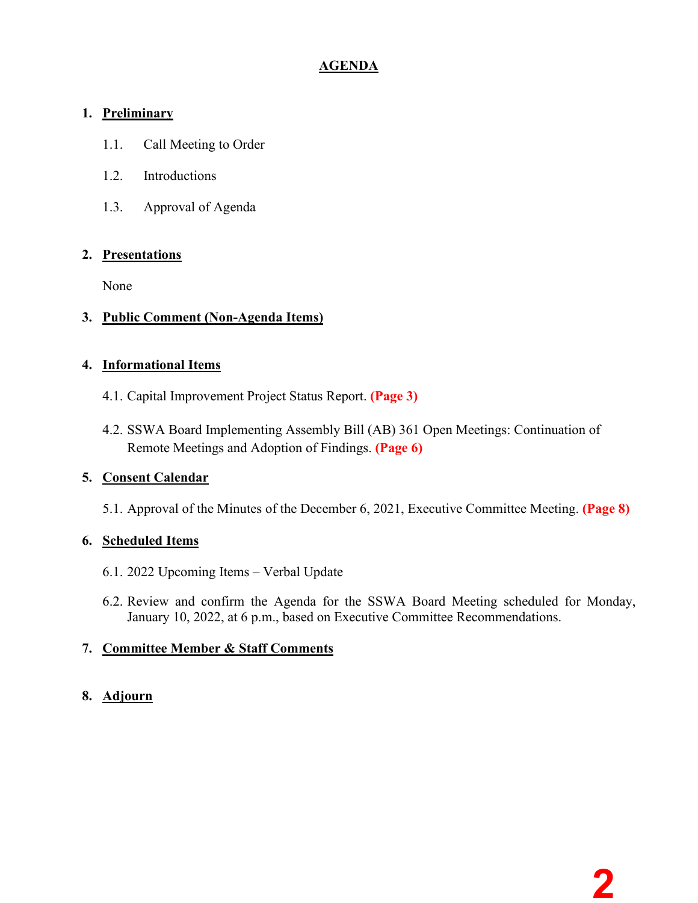# **AGENDA**

# **1. Preliminary**

- 1.1. Call Meeting to Order
- 1.2. Introductions
- 1.3. Approval of Agenda

# **2. Presentations**

None

# **3. Public Comment (Non-Agenda Items)**

# **4. Informational Items**

- 4.1. Capital Improvement Project Status Report. **(Page 3)**
- 4.2. SSWA Board Implementing Assembly Bill (AB) 361 Open Meetings: Continuation of Remote Meetings and Adoption of Findings. **(Page 6)**

### **5. Consent Calendar**

5.1. Approval of the Minutes of the December 6, 2021, Executive Committee Meeting. **(Page 8)**

# **6. Scheduled Items**

- 6.1. 2022 Upcoming Items Verbal Update
- 6.2. Review and confirm the Agenda for the SSWA Board Meeting scheduled for Monday, January 10, 2022, at 6 p.m., based on Executive Committee Recommendations.

# **7. Committee Member & Staff Comments**

# **8. Adjourn**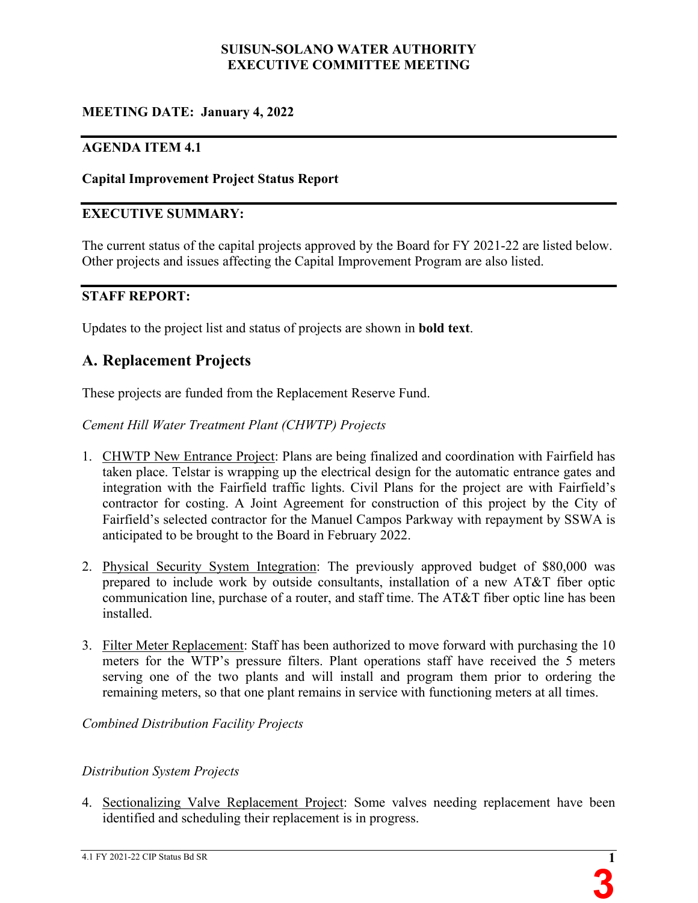### **SUISUN-SOLANO WATER AUTHORITY EXECUTIVE COMMITTEE MEETING**

# **MEETING DATE: January 4, 2022**

### **AGENDA ITEM 4.1**

### **Capital Improvement Project Status Report**

### **EXECUTIVE SUMMARY:**

The current status of the capital projects approved by the Board for FY 2021-22 are listed below. Other projects and issues affecting the Capital Improvement Program are also listed.

### **STAFF REPORT:**

Updates to the project list and status of projects are shown in **bold text**.

# **A. Replacement Projects**

These projects are funded from the Replacement Reserve Fund.

*Cement Hill Water Treatment Plant (CHWTP) Projects*

- 1. CHWTP New Entrance Project: Plans are being finalized and coordination with Fairfield has taken place. Telstar is wrapping up the electrical design for the automatic entrance gates and integration with the Fairfield traffic lights. Civil Plans for the project are with Fairfield's contractor for costing. A Joint Agreement for construction of this project by the City of Fairfield's selected contractor for the Manuel Campos Parkway with repayment by SSWA is anticipated to be brought to the Board in February 2022.
- 2. Physical Security System Integration: The previously approved budget of \$80,000 was prepared to include work by outside consultants, installation of a new AT&T fiber optic communication line, purchase of a router, and staff time. The AT&T fiber optic line has been installed.
- 3. Filter Meter Replacement: Staff has been authorized to move forward with purchasing the 10 meters for the WTP's pressure filters. Plant operations staff have received the 5 meters serving one of the two plants and will install and program them prior to ordering the remaining meters, so that one plant remains in service with functioning meters at all times.

*Combined Distribution Facility Projects* 

### *Distribution System Projects*

4. Sectionalizing Valve Replacement Project: Some valves needing replacement have been identified and scheduling their replacement is in progress.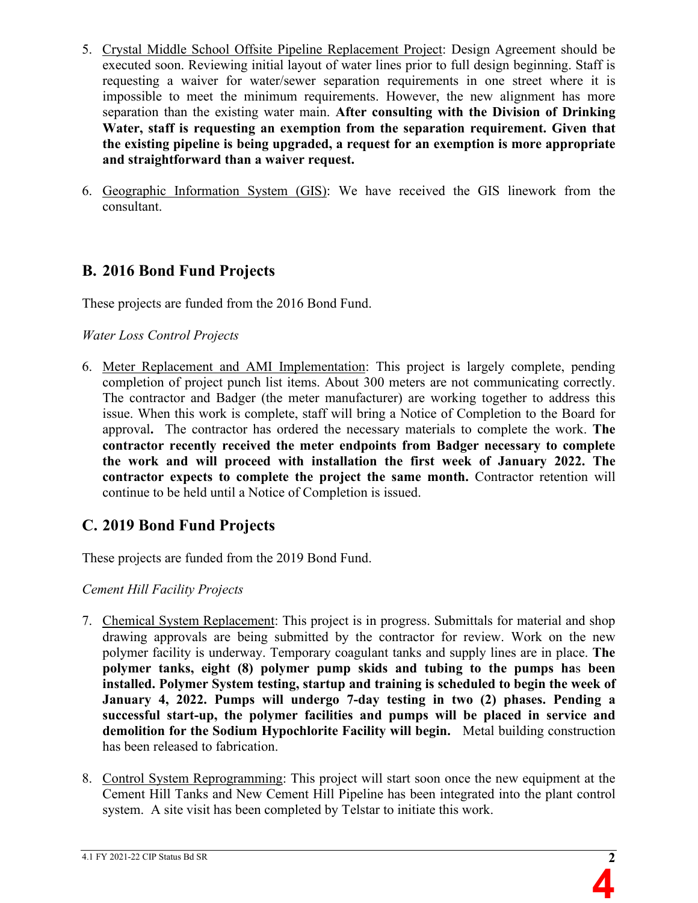- 5. Crystal Middle School Offsite Pipeline Replacement Project: Design Agreement should be executed soon. Reviewing initial layout of water lines prior to full design beginning. Staff is requesting a waiver for water/sewer separation requirements in one street where it is impossible to meet the minimum requirements. However, the new alignment has more separation than the existing water main. **After consulting with the Division of Drinking Water, staff is requesting an exemption from the separation requirement. Given that the existing pipeline is being upgraded, a request for an exemption is more appropriate and straightforward than a waiver request.**
- 6. Geographic Information System (GIS): We have received the GIS linework from the consultant.

# **B. 2016 Bond Fund Projects**

These projects are funded from the 2016 Bond Fund.

### *Water Loss Control Projects*

6. Meter Replacement and AMI Implementation: This project is largely complete, pending completion of project punch list items. About 300 meters are not communicating correctly. The contractor and Badger (the meter manufacturer) are working together to address this issue. When this work is complete, staff will bring a Notice of Completion to the Board for approval**.** The contractor has ordered the necessary materials to complete the work. **The contractor recently received the meter endpoints from Badger necessary to complete the work and will proceed with installation the first week of January 2022. The contractor expects to complete the project the same month.** Contractor retention will continue to be held until a Notice of Completion is issued.

# **C. 2019 Bond Fund Projects**

These projects are funded from the 2019 Bond Fund.

### *Cement Hill Facility Projects*

- 7. Chemical System Replacement: This project is in progress. Submittals for material and shop drawing approvals are being submitted by the contractor for review. Work on the new polymer facility is underway. Temporary coagulant tanks and supply lines are in place. **The polymer tanks, eight (8) polymer pump skids and tubing to the pumps ha**s **been installed. Polymer System testing, startup and training is scheduled to begin the week of January 4, 2022. Pumps will undergo 7-day testing in two (2) phases. Pending a successful start-up, the polymer facilities and pumps will be placed in service and demolition for the Sodium Hypochlorite Facility will begin.** Metal building construction has been released to fabrication.
- 8. Control System Reprogramming: This project will start soon once the new equipment at the Cement Hill Tanks and New Cement Hill Pipeline has been integrated into the plant control system. A site visit has been completed by Telstar to initiate this work.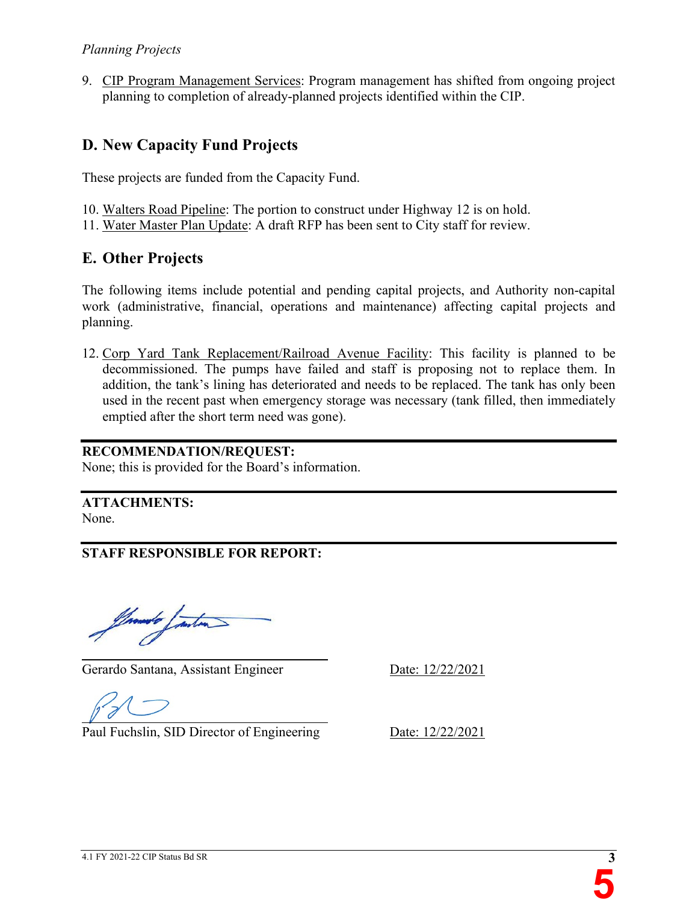9. CIP Program Management Services: Program management has shifted from ongoing project planning to completion of already-planned projects identified within the CIP.

# **D. New Capacity Fund Projects**

These projects are funded from the Capacity Fund.

10. Walters Road Pipeline: The portion to construct under Highway 12 is on hold.

11. Water Master Plan Update: A draft RFP has been sent to City staff for review.

# **E. Other Projects**

The following items include potential and pending capital projects, and Authority non-capital work (administrative, financial, operations and maintenance) affecting capital projects and planning.

12. Corp Yard Tank Replacement/Railroad Avenue Facility: This facility is planned to be decommissioned. The pumps have failed and staff is proposing not to replace them. In addition, the tank's lining has deteriorated and needs to be replaced. The tank has only been used in the recent past when emergency storage was necessary (tank filled, then immediately emptied after the short term need was gone).

# **RECOMMENDATION/REQUEST:**

None; this is provided for the Board's information.

**ATTACHMENTS:** None.

**STAFF RESPONSIBLE FOR REPORT:**

Innabe Janton

Gerardo Santana, Assistant Engineer Date: 12/22/2021

 $\overline{a}$ 

Paul Fuchslin, SID Director of Engineering Date: 12/22/2021

 $\overline{a}$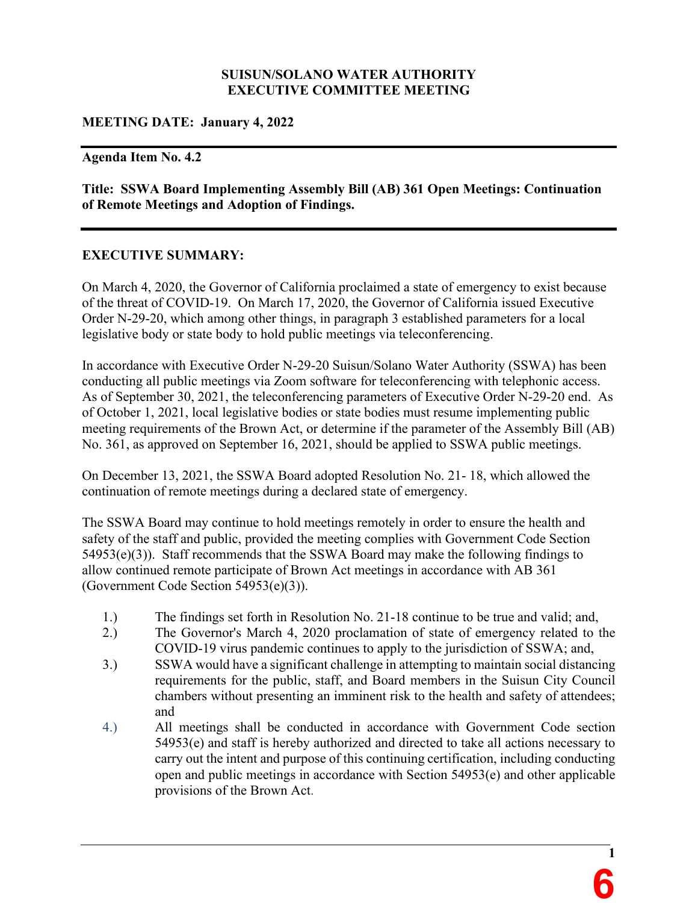### **SUISUN/SOLANO WATER AUTHORITY EXECUTIVE COMMITTEE MEETING**

### **MEETING DATE: January 4, 2022**

#### **Agenda Item No. 4.2**

**Title: SSWA Board Implementing Assembly Bill (AB) 361 Open Meetings: Continuation of Remote Meetings and Adoption of Findings.**

### **EXECUTIVE SUMMARY:**

On March 4, 2020, the Governor of California proclaimed a state of emergency to exist because of the threat of COVID-19. On March 17, 2020, the Governor of California issued Executive Order N-29-20, which among other things, in paragraph 3 established parameters for a local legislative body or state body to hold public meetings via teleconferencing.

In accordance with Executive Order N-29-20 Suisun/Solano Water Authority (SSWA) has been conducting all public meetings via Zoom software for teleconferencing with telephonic access. As of September 30, 2021, the teleconferencing parameters of Executive Order N-29-20 end. As of October 1, 2021, local legislative bodies or state bodies must resume implementing public meeting requirements of the Brown Act, or determine if the parameter of the Assembly Bill (AB) No. 361, as approved on September 16, 2021, should be applied to SSWA public meetings.

On December 13, 2021, the SSWA Board adopted Resolution No. 21- 18, which allowed the continuation of remote meetings during a declared state of emergency.

The SSWA Board may continue to hold meetings remotely in order to ensure the health and safety of the staff and public, provided the meeting complies with Government Code Section 54953(e)(3)). Staff recommends that the SSWA Board may make the following findings to allow continued remote participate of Brown Act meetings in accordance with AB 361 (Government Code Section 54953(e)(3)).

- 1.) The findings set forth in Resolution No. 21-18 continue to be true and valid; and,
- 2.) The Governor's March 4, 2020 proclamation of state of emergency related to the COVID-19 virus pandemic continues to apply to the jurisdiction of SSWA; and,
- 3.) SSWA would have a significant challenge in attempting to maintain social distancing requirements for the public, staff, and Board members in the Suisun City Council chambers without presenting an imminent risk to the health and safety of attendees; and
- 4.) All meetings shall be conducted in accordance with Government Code section 54953(e) and staff is hereby authorized and directed to take all actions necessary to carry out the intent and purpose of this continuing certification, including conducting open and public meetings in accordance with Section 54953(e) and other applicable provisions of the Brown Act.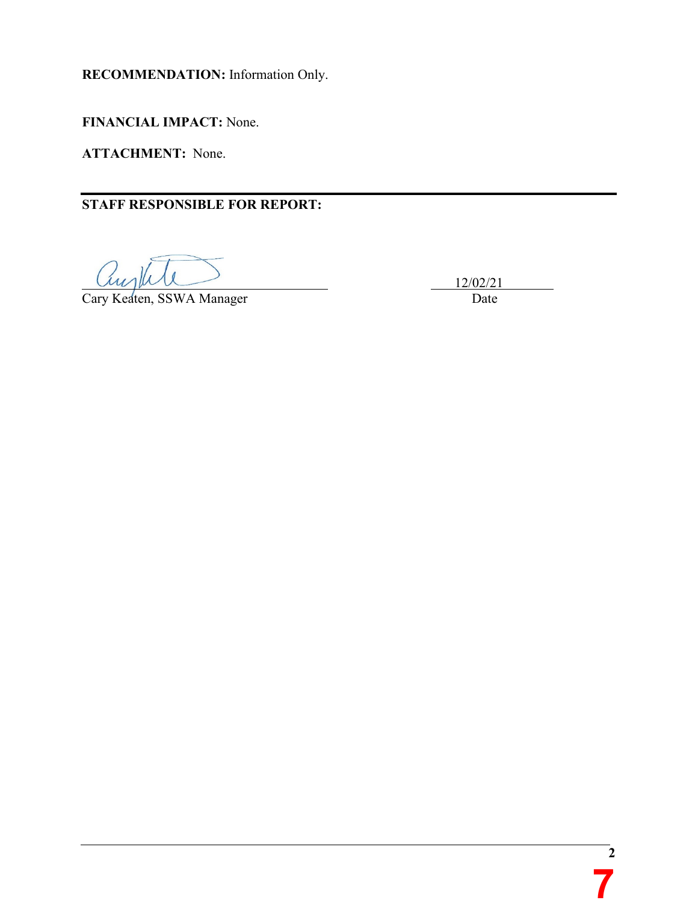**RECOMMENDATION:** Information Only.

**FINANCIAL IMPACT:** None.

**ATTACHMENT:** None.

**STAFF RESPONSIBLE FOR REPORT:** 

 $\mu_1$   $\mu_2$   $\mu_3$   $\mu_4$   $\mu_5$   $\mu_7$   $\mu_8$   $\mu_9$   $\mu_1$   $\mu_2$   $\mu_3$   $\mu_7$   $\mu_8$   $\mu_9$   $\mu_1$   $\mu_2$   $\mu_3$   $\mu_7$   $\mu_8$   $\mu_9$   $\mu_1$   $\mu_2$   $\mu_3$   $\mu_7$   $\mu_8$   $\mu_9$   $\mu_1$   $\mu_2$   $\mu_3$   $\mu_7$   $\mu_8$   $\mu_$ 

Cary Keaten, SSWA Manager Date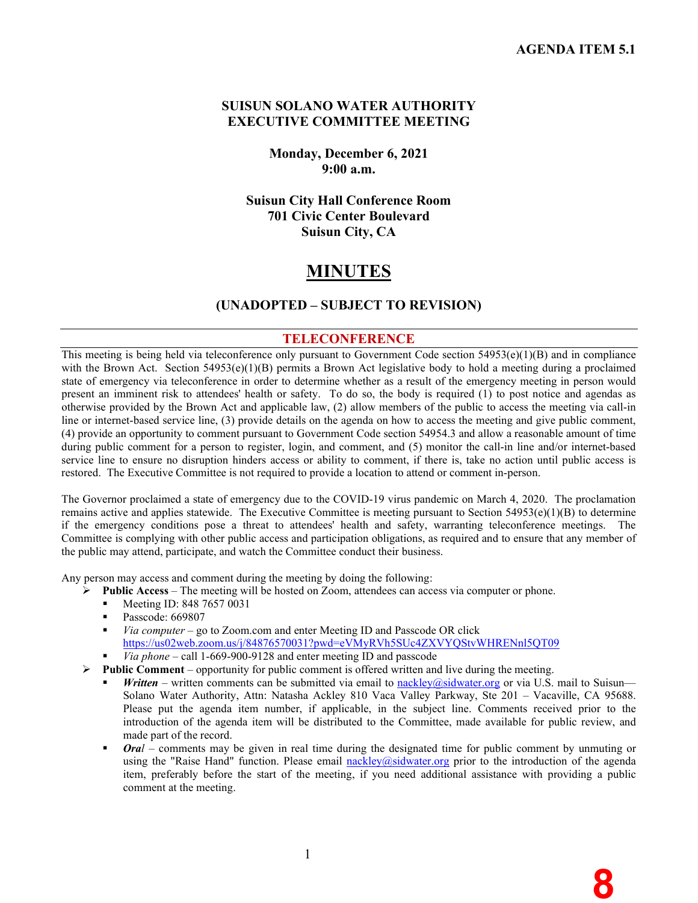**8**

### **SUISUN SOLANO WATER AUTHORITY EXECUTIVE COMMITTEE MEETING**

**Monday, December 6, 2021 9:00 a.m.** 

**Suisun City Hall Conference Room 701 Civic Center Boulevard Suisun City, CA**

# **MINUTES**

### **(UNADOPTED – SUBJECT TO REVISION)**

#### **TELECONFERENCE**

This meeting is being held via teleconference only pursuant to Government Code section  $54953(e)(1)(B)$  and in compliance with the Brown Act. Section 54953(e)(1)(B) permits a Brown Act legislative body to hold a meeting during a proclaimed state of emergency via teleconference in order to determine whether as a result of the emergency meeting in person would present an imminent risk to attendees' health or safety. To do so, the body is required (1) to post notice and agendas as otherwise provided by the Brown Act and applicable law, (2) allow members of the public to access the meeting via call-in line or internet-based service line, (3) provide details on the agenda on how to access the meeting and give public comment, (4) provide an opportunity to comment pursuant to Government Code section 54954.3 and allow a reasonable amount of time during public comment for a person to register, login, and comment, and (5) monitor the call-in line and/or internet-based service line to ensure no disruption hinders access or ability to comment, if there is, take no action until public access is restored. The Executive Committee is not required to provide a location to attend or comment in-person.

The Governor proclaimed a state of emergency due to the COVID-19 virus pandemic on March 4, 2020. The proclamation remains active and applies statewide. The Executive Committee is meeting pursuant to Section  $54953(e)(1)(B)$  to determine if the emergency conditions pose a threat to attendees' health and safety, warranting teleconference meetings. The Committee is complying with other public access and participation obligations, as required and to ensure that any member of the public may attend, participate, and watch the Committee conduct their business.

Any person may access and comment during the meeting by doing the following:

- **Public Access**The meeting will be hosted on Zoom, attendees can access via computer or phone.
	- Meeting ID: 848 7657 0031
	- Passcode: 669807
	- *Via computer* go to Zoom.com and enter Meeting ID and Passcode OR click <https://us02web.zoom.us/j/84876570031?pwd=eVMyRVh5SUc4ZXVYQStvWHRENnl5QT09>
	- *Via phone* call 1-669-900-9128 and enter meeting ID and passcode
- **Public Comment** opportunity for public comment is offered written and live during the meeting.
	- *Written* written comments can be submitted via email to [nackley@sidwater.org](mailto:nackley@sidwater.org) or via U.S. mail to Suisun— Solano Water Authority, Attn: Natasha Ackley 810 Vaca Valley Parkway, Ste 201 – Vacaville, CA 95688. Please put the agenda item number, if applicable, in the subject line. Comments received prior to the introduction of the agenda item will be distributed to the Committee, made available for public review, and made part of the record.
	- *Oral* comments may be given in real time during the designated time for public comment by unmuting or using the "Raise Hand" function. Please email [nackley@sidwater.org](mailto:nackley@sidwater.org) prior to the introduction of the agenda item, preferably before the start of the meeting, if you need additional assistance with providing a public comment at the meeting.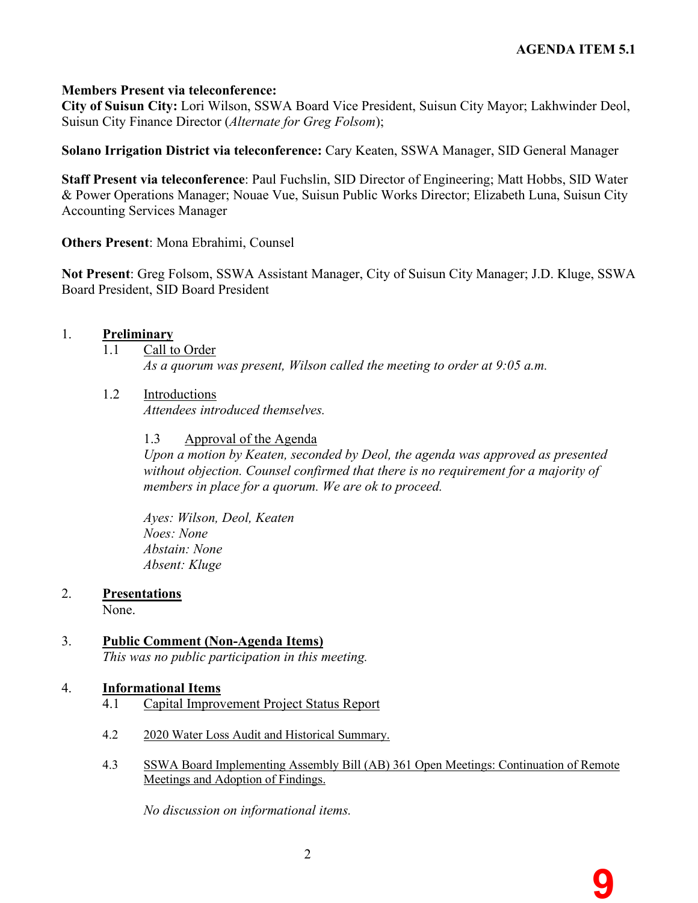**9**

### **Members Present via teleconference:**

**City of Suisun City:** Lori Wilson, SSWA Board Vice President, Suisun City Mayor; Lakhwinder Deol, Suisun City Finance Director (*Alternate for Greg Folsom*);

**Solano Irrigation District via teleconference:** Cary Keaten, SSWA Manager, SID General Manager

**Staff Present via teleconference**: Paul Fuchslin, SID Director of Engineering; Matt Hobbs, SID Water & Power Operations Manager; Nouae Vue, Suisun Public Works Director; Elizabeth Luna, Suisun City Accounting Services Manager

**Others Present**: Mona Ebrahimi, Counsel

**Not Present**: Greg Folsom, SSWA Assistant Manager, City of Suisun City Manager; J.D. Kluge, SSWA Board President, SID Board President

### 1. **Preliminary**

1.1 Call to Order

*As a quorum was present, Wilson called the meeting to order at 9:05 a.m.* 

1.2 Introductions

*Attendees introduced themselves.* 

1.3 Approval of the Agenda

*Upon a motion by Keaten, seconded by Deol, the agenda was approved as presented without objection. Counsel confirmed that there is no requirement for a majority of members in place for a quorum. We are ok to proceed.* 

*Ayes: Wilson, Deol, Keaten Noes: None Abstain: None Absent: Kluge* 

### 2. **Presentations**

None.

### 3. **Public Comment (Non-Agenda Items)**

*This was no public participation in this meeting.* 

### 4. **Informational Items**

- 4.1 Capital Improvement Project Status Report
- 4.2 2020 Water Loss Audit and Historical Summary.
- 4.3 SSWA Board Implementing Assembly Bill (AB) 361 Open Meetings: Continuation of Remote Meetings and Adoption of Findings.

*No discussion on informational items.*